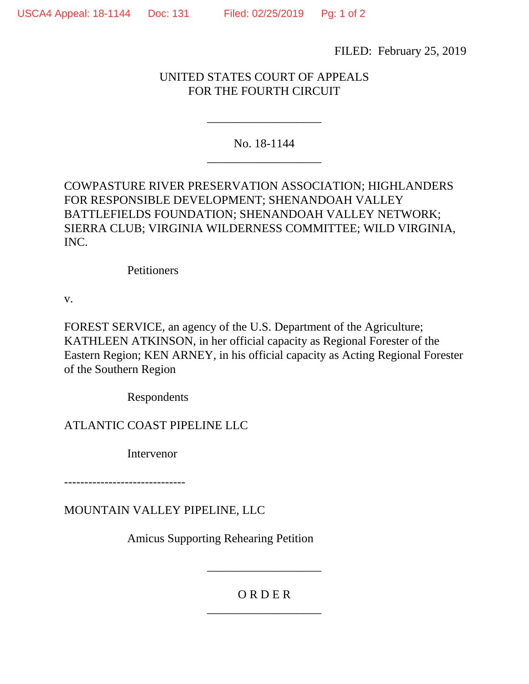FILED: February 25, 2019

## UNITED STATES COURT OF APPEALS FOR THE FOURTH CIRCUIT

No. 18-1144 \_\_\_\_\_\_\_\_\_\_\_\_\_\_\_\_\_\_\_

\_\_\_\_\_\_\_\_\_\_\_\_\_\_\_\_\_\_\_

COWPASTURE RIVER PRESERVATION ASSOCIATION; HIGHLANDERS FOR RESPONSIBLE DEVELOPMENT; SHENANDOAH VALLEY BATTLEFIELDS FOUNDATION; SHENANDOAH VALLEY NETWORK; SIERRA CLUB; VIRGINIA WILDERNESS COMMITTEE; WILD VIRGINIA, INC.

**Petitioners** 

v.

FOREST SERVICE, an agency of the U.S. Department of the Agriculture; KATHLEEN ATKINSON, in her official capacity as Regional Forester of the Eastern Region; KEN ARNEY, in his official capacity as Acting Regional Forester of the Southern Region

Respondents

ATLANTIC COAST PIPELINE LLC

Intervenor

------------------------------

MOUNTAIN VALLEY PIPELINE, LLC

Amicus Supporting Rehearing Petition

## O R D E R \_\_\_\_\_\_\_\_\_\_\_\_\_\_\_\_\_\_\_

\_\_\_\_\_\_\_\_\_\_\_\_\_\_\_\_\_\_\_